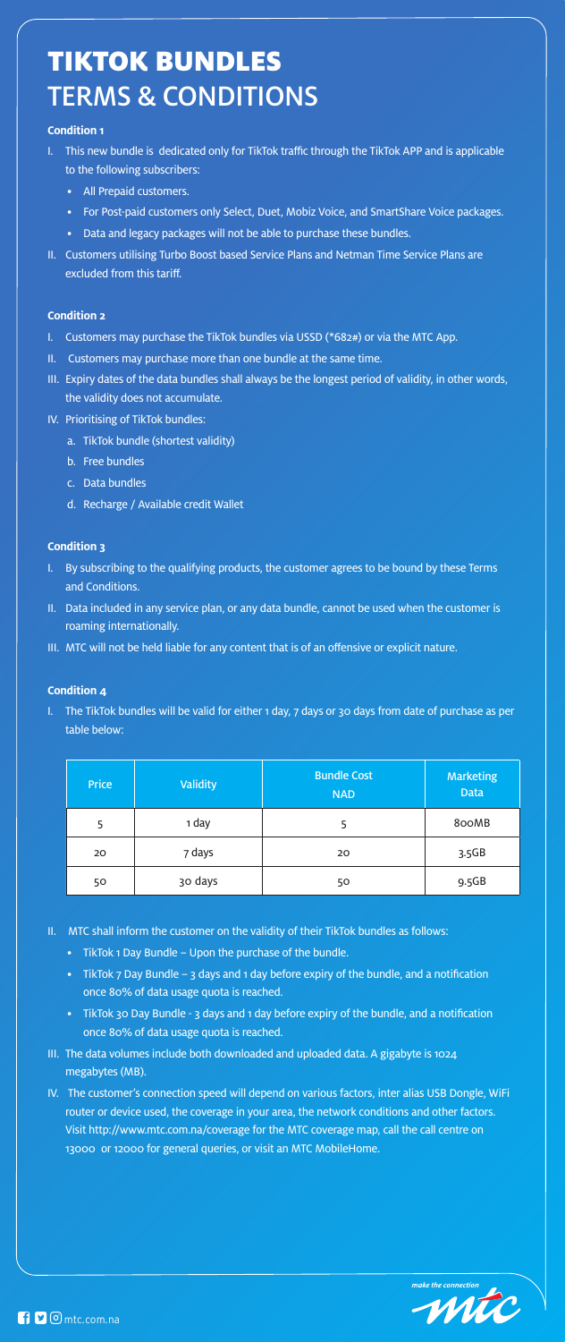# TIKTOK BUNDLES TERMS & CONDITIONS

## **Condition 1**

- I. This new bundle is dedicated only for TikTok traffic through the TikTok APP and is applicable to the following subscribers:
	- All Prepaid customers.
	- For Post-paid customers only Select, Duet, Mobiz Voice, and SmartShare Voice packages.
	- Data and legacy packages will not be able to purchase these bundles.
- II. Customers utilising Turbo Boost based Service Plans and Netman Time Service Plans are excluded from this tariff.

#### **Condition 2**

I. The TikTok bundles will be valid for either 1 day, 7 days or 30 days from date of purchase as per table below:

- I. Customers may purchase the TikTok bundles via USSD (\*682#) or via the MTC App.
- II. Customers may purchase more than one bundle at the same time.
- III. Expiry dates of the data bundles shall always be the longest period of validity, in other words, the validity does not accumulate.
- IV. Prioritising of TikTok bundles:
	- a. TikTok bundle (shortest validity)
	- b. Free bundles
	- c. Data bundles
	- d. Recharge / Available credit Wallet

## **Condition 3**

- I. By subscribing to the qualifying products, the customer agrees to be bound by these Terms and Conditions.
- II. Data included in any service plan, or any data bundle, cannot be used when the customer is roaming internationally.
- III. MTC will not be held liable for any content that is of an offensive or explicit nature.

#### **Condition 4**

| <b>Price</b> | <b>Validity</b> | <b>Bundle Cost</b><br><b>NAD</b> | <b>Marketing</b><br><b>Data</b> |
|--------------|-----------------|----------------------------------|---------------------------------|
| 5            | 1 day           | 5                                | 800MB                           |
| 20           | 7 days          | 20                               | 3.5GB                           |
| 50           | 30 days         | 50                               | 9.5GB                           |

- II. MTC shall inform the customer on the validity of their TikTok bundles as follows:
	- TikTok 1 Day Bundle Upon the purchase of the bundle.
	- TikTok 7 Day Bundle 3 days and 1 day before expiry of the bundle, and a notification once 80% of data usage quota is reached.
	- TikTok 30 Day Bundle 3 days and 1 day before expiry of the bundle, and a notification once 80% of data usage quota is reached.
- III. The data volumes include both downloaded and uploaded data. A gigabyte is 1024 megabytes (MB).
- IV. The customer's connection speed will depend on various factors, inter alias USB Dongle, WiFi router or device used, the coverage in your area, the network conditions and other factors. Visit http://www.mtc.com.na/coverage for the MTC coverage map, call the call centre on 13000 or 12000 for general queries, or visit an MTC MobileHome.